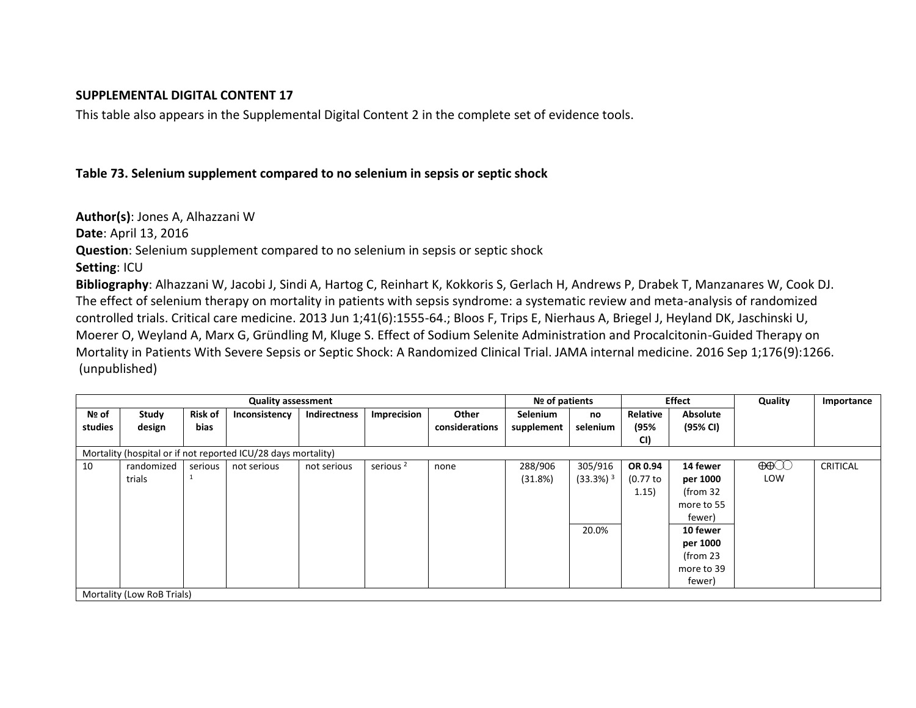### **SUPPLEMENTAL DIGITAL CONTENT 17**

This table also appears in the Supplemental Digital Content 2 in the complete set of evidence tools.

## **Table 73. Selenium supplement compared to no selenium in sepsis or septic shock**

**Author(s)**: Jones A, Alhazzani W **Date**: April 13, 2016 **Question**: Selenium supplement compared to no selenium in sepsis or septic shock **Setting**: ICU **Bibliography**: Alhazzani W, Jacobi J, Sindi A, Hartog C, Reinhart K, Kokkoris S, Gerlach H, Andrews P, Drabek T, Manzanares W, Cook DJ. The effect of selenium therapy on mortality in patients with sepsis syndrome: a systematic review and meta-analysis of randomized controlled trials. Critical care medicine. 2013 Jun 1;41(6):1555-64.; Bloos F, Trips E, Nierhaus A, Briegel J, Heyland DK, Jaschinski U,

Moerer O, Weyland A, Marx G, Gründling M, Kluge S. Effect of Sodium Selenite Administration and Procalcitonin-Guided Therapy on Mortality in Patients With Severe Sepsis or Septic Shock: A Randomized Clinical Trial. JAMA internal medicine. 2016 Sep 1;176(9):1266. (unpublished)

| <b>Quality assessment</b>                                     |            |                |               |                     |                      |                |                 | Nº of patients          |             | <b>Effect</b>       | Quality                                                                                                                                  | Importance      |
|---------------------------------------------------------------|------------|----------------|---------------|---------------------|----------------------|----------------|-----------------|-------------------------|-------------|---------------------|------------------------------------------------------------------------------------------------------------------------------------------|-----------------|
| Nº of                                                         | Study      | <b>Risk of</b> | Inconsistency | <b>Indirectness</b> | <b>Imprecision</b>   | Other          | <b>Selenium</b> | no                      | Relative    | Absolute            |                                                                                                                                          |                 |
| studies                                                       | design     | bias           |               |                     |                      | considerations | supplement      | selenium                | (95%        | (95% CI)            |                                                                                                                                          |                 |
|                                                               |            |                |               |                     |                      |                |                 |                         | CI)         |                     |                                                                                                                                          |                 |
| Mortality (hospital or if not reported ICU/28 days mortality) |            |                |               |                     |                      |                |                 |                         |             |                     |                                                                                                                                          |                 |
| 10                                                            | randomized | serious        | not serious   | not serious         | serious <sup>2</sup> | none           | 288/906         | 305/916                 | OR 0.94     | 14 fewer            | $\bigoplus\hspace{-0.15cm}\bigoplus\hspace{-0.15cm}\bigoplus\hspace{-0.15cm}\bigoplus\hspace{-0.15cm}\bigoplus\hspace{-0.15cm}\bigoplus$ | <b>CRITICAL</b> |
|                                                               | trials     |                |               |                     |                      |                | (31.8%)         | $(33.3\%)$ <sup>3</sup> | $(0.77)$ to | per 1000            | LOW                                                                                                                                      |                 |
|                                                               |            |                |               |                     |                      |                |                 |                         | 1.15)       | (from <sub>32</sub> |                                                                                                                                          |                 |
|                                                               |            |                |               |                     |                      |                |                 |                         |             | more to 55          |                                                                                                                                          |                 |
|                                                               |            |                |               |                     |                      |                |                 |                         |             | fewer)              |                                                                                                                                          |                 |
|                                                               |            |                |               |                     |                      |                |                 | 20.0%                   |             | 10 fewer            |                                                                                                                                          |                 |
|                                                               |            |                |               |                     |                      |                |                 |                         |             | per 1000            |                                                                                                                                          |                 |
|                                                               |            |                |               |                     |                      |                |                 |                         |             | (from <sub>23</sub> |                                                                                                                                          |                 |
|                                                               |            |                |               |                     |                      |                |                 |                         |             | more to 39          |                                                                                                                                          |                 |
|                                                               |            |                |               |                     |                      |                |                 |                         |             | fewer)              |                                                                                                                                          |                 |
| Mortality (Low RoB Trials)                                    |            |                |               |                     |                      |                |                 |                         |             |                     |                                                                                                                                          |                 |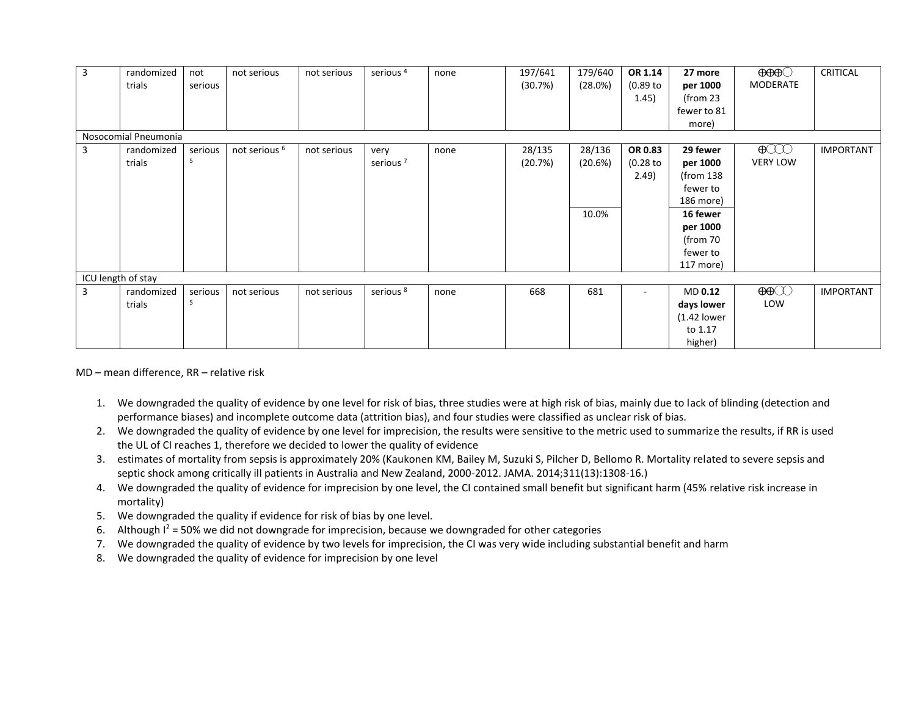| $\overline{3}$     | randomized<br>trials | not<br>serious | not serious              | not serious | serious <sup>4</sup> | none | 197/641<br>(30.7%) | 179/640<br>(28.0%) | OR 1.14<br>(0.89 to | 27 more<br>per 1000  | $\Theta$ $\Theta$ $\Theta$<br>MODERATE | <b>CRITICAL</b>  |
|--------------------|----------------------|----------------|--------------------------|-------------|----------------------|------|--------------------|--------------------|---------------------|----------------------|----------------------------------------|------------------|
|                    |                      |                |                          |             |                      |      |                    |                    | 1.45)               | (from $23$           |                                        |                  |
|                    |                      |                |                          |             |                      |      |                    |                    |                     | fewer to 81          |                                        |                  |
|                    |                      |                |                          |             |                      |      |                    |                    |                     | more)                |                                        |                  |
|                    | Nosocomial Pneumonia |                |                          |             |                      |      |                    |                    |                     |                      |                                        |                  |
| 3                  | randomized           | serious        | not serious <sup>6</sup> | not serious | very                 | none | 28/135             | 28/136             | OR 0.83             | 29 fewer             | $\bigoplus$                            | <b>IMPORTANT</b> |
|                    | trials               | 5              |                          |             | serious <sup>7</sup> |      | (20.7%)            | (20.6%)            | (0.28 to            | per 1000             | <b>VERY LOW</b>                        |                  |
|                    |                      |                |                          |             |                      |      |                    |                    | 2.49)               | (from <sub>138</sub> |                                        |                  |
|                    |                      |                |                          |             |                      |      |                    |                    |                     | fewer to             |                                        |                  |
|                    |                      |                |                          |             |                      |      |                    |                    |                     | 186 more)            |                                        |                  |
|                    |                      |                |                          |             |                      |      |                    | 10.0%              |                     | 16 fewer             |                                        |                  |
|                    |                      |                |                          |             |                      |      |                    |                    |                     | per 1000             |                                        |                  |
|                    |                      |                |                          |             |                      |      |                    |                    |                     | (from 70             |                                        |                  |
|                    |                      |                |                          |             |                      |      |                    |                    |                     | fewer to             |                                        |                  |
|                    |                      |                |                          |             |                      |      |                    |                    |                     | 117 more)            |                                        |                  |
| ICU length of stay |                      |                |                          |             |                      |      |                    |                    |                     |                      |                                        |                  |
| $\overline{3}$     | randomized           | serious        | not serious              | not serious | serious <sup>8</sup> | none | 668                | 681                | ٠                   | MD 0.12              | $\bigoplus$                            | <b>IMPORTANT</b> |
|                    | trials               | 5              |                          |             |                      |      |                    |                    |                     | days lower           | LOW                                    |                  |
|                    |                      |                |                          |             |                      |      |                    |                    |                     | $(1.42$ lower        |                                        |                  |
|                    |                      |                |                          |             |                      |      |                    |                    |                     | to 1.17              |                                        |                  |
|                    |                      |                |                          |             |                      |      |                    |                    |                     | higher)              |                                        |                  |

MD – mean difference, RR – relative risk

- 1. We downgraded the quality of evidence by one level for risk of bias, three studies were at high risk of bias, mainly due to lack of blinding (detection and performance biases) and incomplete outcome data (attrition bias), and four studies were classified as unclear risk of bias.
- 2. We downgraded the quality of evidence by one level for imprecision, the results were sensitive to the metric used to summarize the results, if RR is used the UL of CI reaches 1, therefore we decided to lower the quality of evidence
- 3. estimates of mortality from sepsis is approximately 20% (Kaukonen KM, Bailey M, Suzuki S, Pilcher D, Bellomo R. Mortality related to severe sepsis and septic shock among critically ill patients in Australia and New Zealand, 2000-2012. JAMA. 2014;311(13):1308-16.)
- 4. We downgraded the quality of evidence for imprecision by one level, the CI contained small benefit but significant harm (45% relative risk increase in mortality)
- 5. We downgraded the quality if evidence for risk of bias by one level.
- 6. Although  $I^2 = 50\%$  we did not downgrade for imprecision, because we downgraded for other categories
- 7. We downgraded the quality of evidence by two levels for imprecision, the CI was very wide including substantial benefit and harm
- 8. We downgraded the quality of evidence for imprecision by one level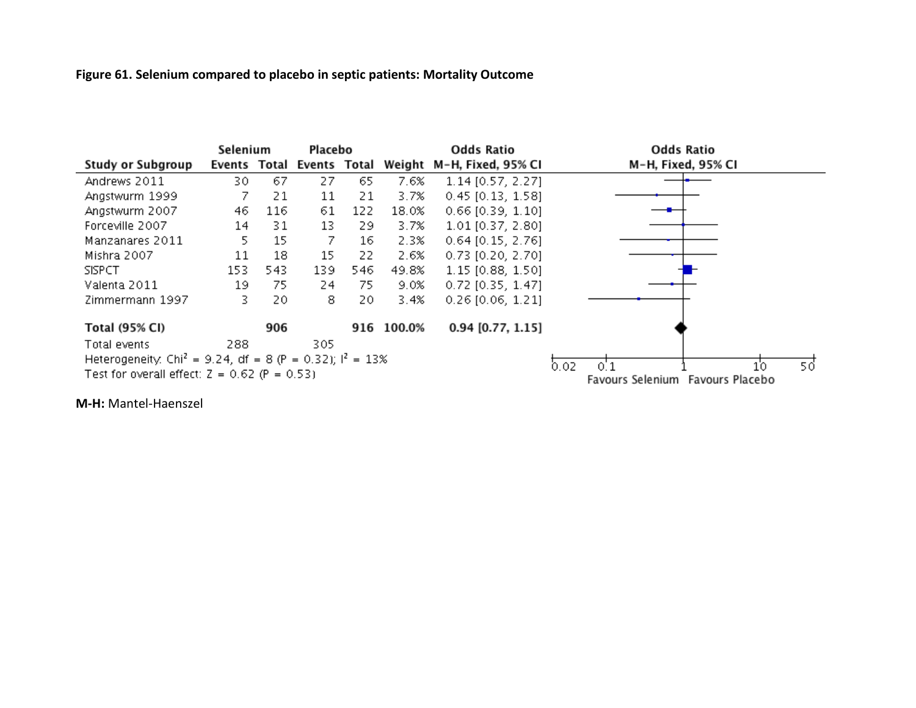# **Figure 61. Selenium compared to placebo in septic patients: Mortality Outcome**

|                                                                        | Selenium |     | Placebo                   |     |            | <b>Odds Ratio</b>         | <b>Odds Ratio</b>                |
|------------------------------------------------------------------------|----------|-----|---------------------------|-----|------------|---------------------------|----------------------------------|
| Study or Subgroup                                                      |          |     | Events Total Events Total |     |            | Weight M-H, Fixed, 95% CI | M-H, Fixed, 95% CI               |
| Andrews 2011                                                           | 30       | 67  | 27                        | 65. | 7.6%       | $1.14$ [0.57, 2.27]       |                                  |
| Angstwurm 1999                                                         | 7        | 21  | 11                        | 21  | 3.7%       | $0.45$ [0.13, 1.58]       |                                  |
| Angstwurm 2007                                                         | 46       | 116 | 61                        | 122 | 18.0%      | $0.66$ [0.39, 1.10]       |                                  |
| Forceville 2007                                                        | 14       | 31  | 13                        | 29. | 3.7%       | 1.01 [0.37, 2.80]         |                                  |
| Manzanares 2011                                                        | 5.       | 15  | 7                         | 16  | 2.3%       | $0.64$ [0.15, 2.76]       |                                  |
| Mishra 2007                                                            | 11       | 18  | 15                        | 22  | 2.6%       | $0.73$ [0.20, 2.70]       |                                  |
| <b>SISPCT</b>                                                          | 153      | 543 | 139                       | 546 | 49.8%      | 1.15 [0.88, 1.50]         |                                  |
| Valenta 2011                                                           | 19       | 75  | 24                        | 75  | 9.0%       | $0.72$ [0.35, 1.47]       |                                  |
| Zimmermann 1997                                                        | 3.       | 20  | 8.                        | 20  | 3.4%       | $0.26$ [0.06, 1.21]       |                                  |
| Total (95% CI)                                                         |          | 906 |                           |     | 916 100.0% | $0.94$ [0.77, 1.15]       |                                  |
| Total events                                                           | 288      |     | 305                       |     |            |                           |                                  |
| Heterogeneity: Chi <sup>2</sup> = 9.24, df = 8 (P = 0.32); $1^2$ = 13% |          |     |                           |     |            |                           | 0. J<br>50<br>0.02<br>10         |
| Test for overall effect: $Z = 0.62$ (P = 0.53)                         |          |     |                           |     |            |                           | Favours Selenium Favours Placebo |

**M-H:** Mantel-Haenszel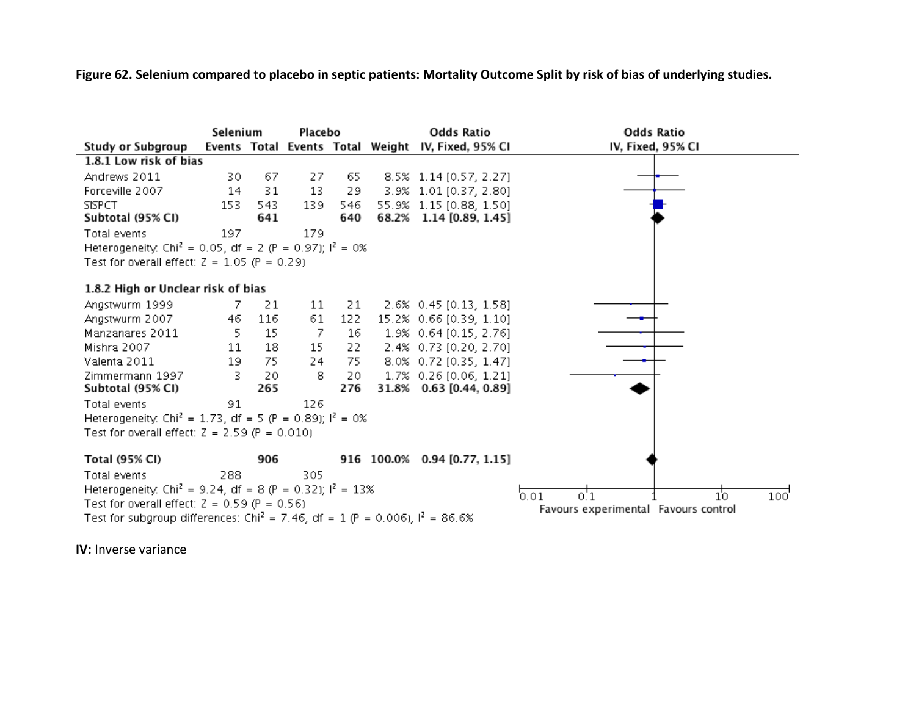**Figure 62. Selenium compared to placebo in septic patients: Mortality Outcome Split by risk of bias of underlying studies.**



**IV:** Inverse variance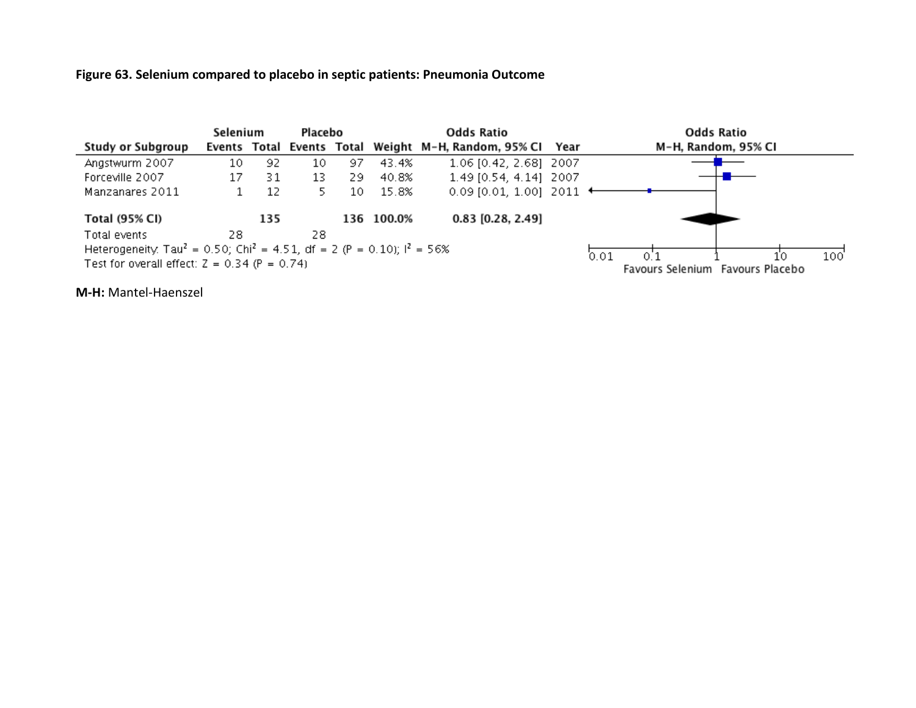### **Figure 63. Selenium compared to placebo in septic patients: Pneumonia Outcome**



**M-H:** Mantel-Haenszel